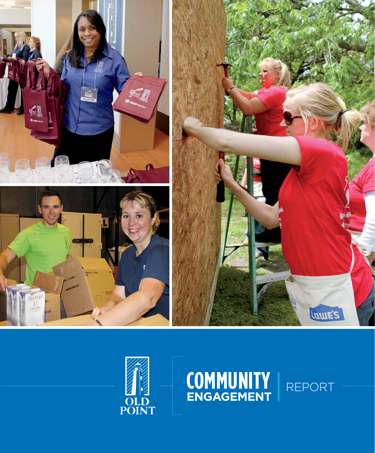



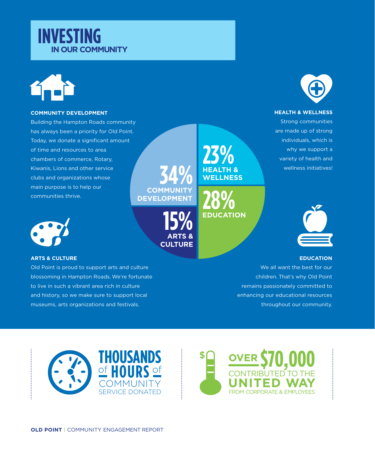## **INVESTING IN OUR COMMUNITY**



#### **COMMUNITY DEVELOPMENT**

Building the Hampton Roads community has always been a priority for Old Point. Today, we donate a significant amount of time and resources to area chambers of commerce, Rotary, Kiwanis, Lions and other service clubs and organizations whose main purpose is to help our communities thrive.

**34%** 

**23%** 

**HEALTH & WELLNESS**

**28%** 

**EDUCATION**

**15%** 

**ARTS & CULTURE**

**COMMUNITY DEVELOPMENT**



#### **ARTS & CULTURE**

Old Point is proud to support arts and culture blossoming in Hampton Roads. We're fortunate to live in such a vibrant area rich in culture and history, so we make sure to support local museums, arts organizations and festivals.



#### **HEALTH & WELLNESS**

Strong communities are made up of strong individuals, which is why we support a variety of health and wellness initiatives!



#### **EDUCATION**

We all want the best for our children. That's why Old Point remains passionately committed to enhancing our educational resources throughout our community.



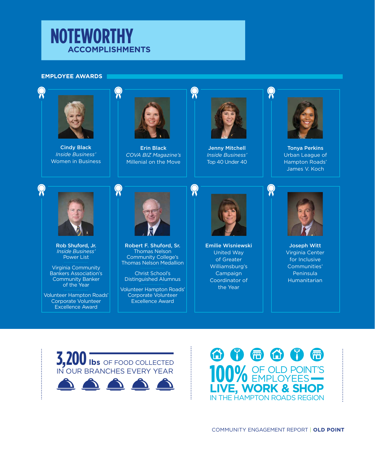# **NOTEWORTHY ACCOMPLISHMENTS**

### **EMPLOYEE AWARDS**



Cindy Black *Inside Business'* Women in Business



Erin Black *COVA BIZ Magazine's*  Millenial on the Move



R

 $\Omega$ 

Jenny Mitchell *Inside Business'* Top 40 Under 40



Tonya Perkins Urban League of Hampton Roads' James V. Koch



Rob Shuford, Jr. *Inside Business'* Power List

Virginia Community Bankers Association's Community Banker of the Year

Volunteer Hampton Roads' Corporate Volunteer Excellence Award



Robert F. Shuford, Sr. Thomas Nelson Community College's Thomas Nelson Medallion

Christ School's Distinguished Alumnus

Volunteer Hampton Roads' Corporate Volunteer Excellence Award



Emilie Wisniewski United Way of Greater Williamsburg's Campaign Coordinator of the Year



Joseph Witt Virginia Center for Inclusive Communities' Peninsula Humanitarian